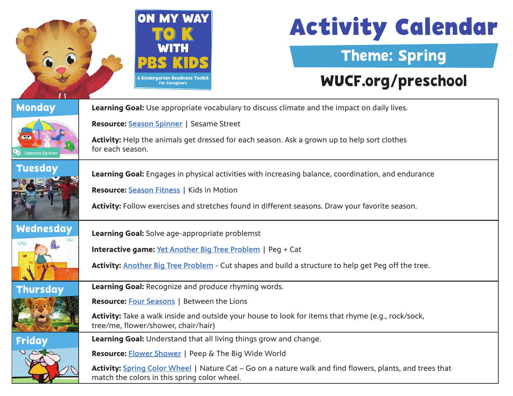

# **Activity Calendar**

### Theme: Spring

### [WUCF.org/preschool](https://www.wucf.org/community/family/wucf-on-my-way-to-k/)

| <b>Monday</b>                                                   | Learning Goal: Use appropriate vocabulary to discuss climate and the impact on daily lives.                                                              |  |  |
|-----------------------------------------------------------------|----------------------------------------------------------------------------------------------------------------------------------------------------------|--|--|
|                                                                 | <b>Resource: Season Spinner   Sesame Street</b>                                                                                                          |  |  |
| <b>Seasons Spinner</b>                                          | Activity: Help the animals get dressed for each season. Ask a grown up to help sort clothes<br>for each season.                                          |  |  |
| <b>Tuesday</b>                                                  | Learning Goal: Engages in physical activities with increasing balance, coordination, and endurance                                                       |  |  |
|                                                                 | <b>Resource: Season Fitness   Kids in Motion</b>                                                                                                         |  |  |
|                                                                 | Activity: Follow exercises and stretches found in different seasons. Draw your favorite season.                                                          |  |  |
| Wednesday                                                       | Learning Goal: Solve age-appropriate problemst                                                                                                           |  |  |
| œ<br>Interactive game: Yet Another Big Tree Problem   Peg + Cat |                                                                                                                                                          |  |  |
|                                                                 | Activity: Another Big Tree Problem - Cut shapes and build a structure to help get Peg off the tree.                                                      |  |  |
| <b>Thursday</b>                                                 | Learning Goal: Recognize and produce rhyming words.                                                                                                      |  |  |
|                                                                 | <b>Resource: Four Seasons   Between the Lions</b>                                                                                                        |  |  |
|                                                                 | Activity: Take a walk inside and outside your house to look for items that rhyme (e.g., rock/sock,<br>tree/me, flower/shower, chair/hair)                |  |  |
| <b>Friday</b>                                                   | Learning Goal: Understand that all living things grow and change.                                                                                        |  |  |
|                                                                 | <b>Resource: Flower Shower   Peep &amp; The Big Wide World</b>                                                                                           |  |  |
|                                                                 | Activity: Spring Color Wheel   Nature Cat – Go on a nature walk and find flowers, plants, and trees that<br>match the colors in this spring color wheel. |  |  |